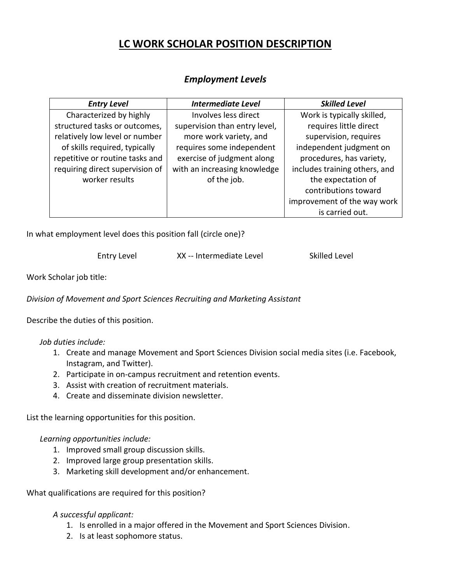## **LC WORK SCHOLAR POSITION DESCRIPTION**

## *Employment Levels*

| <b>Entry Level</b>              | <b>Intermediate Level</b>     | <b>Skilled Level</b>          |
|---------------------------------|-------------------------------|-------------------------------|
| Characterized by highly         | Involves less direct          | Work is typically skilled,    |
| structured tasks or outcomes,   | supervision than entry level, | requires little direct        |
| relatively low level or number  | more work variety, and        | supervision, requires         |
| of skills required, typically   | requires some independent     | independent judgment on       |
| repetitive or routine tasks and | exercise of judgment along    | procedures, has variety,      |
| requiring direct supervision of | with an increasing knowledge  | includes training others, and |
| worker results                  | of the job.                   | the expectation of            |
|                                 |                               | contributions toward          |
|                                 |                               | improvement of the way work   |
|                                 |                               | is carried out.               |

In what employment level does this position fall (circle one)?

Entry Level XX -- Intermediate Level Skilled Level

Work Scholar job title:

*Division of Movement and Sport Sciences Recruiting and Marketing Assistant*

Describe the duties of this position.

*Job duties include:*

- 1. Create and manage Movement and Sport Sciences Division social media sites (i.e. Facebook, Instagram, and Twitter).
- 2. Participate in on-campus recruitment and retention events.
- 3. Assist with creation of recruitment materials.
- 4. Create and disseminate division newsletter.

List the learning opportunities for this position.

## *Learning opportunities include:*

- 1. Improved small group discussion skills.
- 2. Improved large group presentation skills.
- 3. Marketing skill development and/or enhancement.

What qualifications are required for this position?

## *A successful applicant:*

- 1. Is enrolled in a major offered in the Movement and Sport Sciences Division.
- 2. Is at least sophomore status.